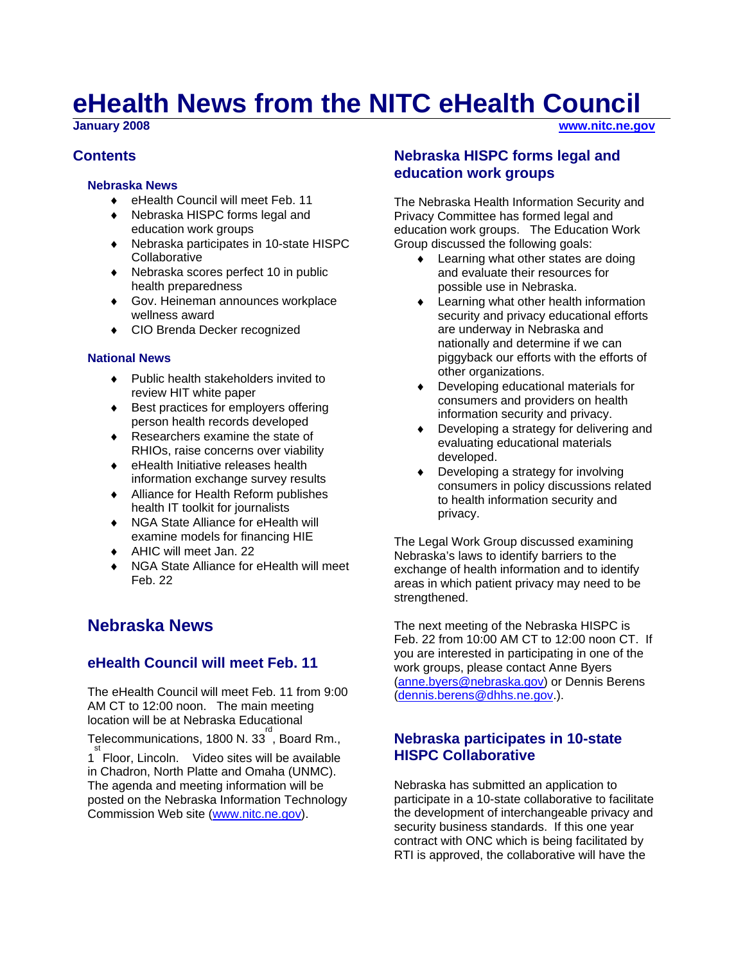# **eHealth News from the NITC eHealth Council**<br> **Sanuary 2008**

### **Contents**

#### **Nebraska News**

- ♦ eHealth Council will meet Feb. 11
- ♦ Nebraska HISPC forms legal and education work groups
- ♦ Nebraska participates in 10-state HISPC **Collaborative**
- ♦ Nebraska scores perfect 10 in public health preparedness
- ♦ Gov. Heineman announces workplace wellness award
- ♦ CIO Brenda Decker recognized

#### **National News**

- ♦ Public health stakeholders invited to review HIT white paper
- ♦ Best practices for employers offering person health records developed
- ♦ Researchers examine the state of RHIOs, raise concerns over viability
- ♦ eHealth Initiative releases health information exchange survey results
- ♦ Alliance for Health Reform publishes health IT toolkit for journalists
- ♦ NGA State Alliance for eHealth will examine models for financing HIE
- ♦ AHIC will meet Jan. 22
- ♦ NGA State Alliance for eHealth will meet Feb. 22

# **Nebraska News**

# **eHealth Council will meet Feb. 11**

The eHealth Council will meet Feb. 11 from 9:00 AM CT to 12:00 noon. The main meeting location will be at Nebraska Educational

Telecommunications, 1800 N. 33 $^{\degree}$ , Board Rm.,

1<sup>st</sup> Floor, Lincoln. Video sites will be available in Chadron, North Platte and Omaha (UNMC). The agenda and meeting information will be posted on the Nebraska Information Technology Commission Web site ([www.nitc.ne.gov\)](http://www.nitc.ne.gov/).

# **Nebraska HISPC forms legal and education work groups**

The Nebraska Health Information Security and Privacy Committee has formed legal and education work groups. The Education Work Group discussed the following goals:

- ♦ Learning what other states are doing and evaluate their resources for possible use in Nebraska.
- ♦ Learning what other health information security and privacy educational efforts are underway in Nebraska and nationally and determine if we can piggyback our efforts with the efforts of other organizations.
- Developing educational materials for consumers and providers on health information security and privacy.
- ♦ Developing a strategy for delivering and evaluating educational materials developed.
- Developing a strategy for involving consumers in policy discussions related to health information security and privacy.

The Legal Work Group discussed examining Nebraska's laws to identify barriers to the exchange of health information and to identify areas in which patient privacy may need to be strenathened.

The next meeting of the Nebraska HISPC is Feb. 22 from 10:00 AM CT to 12:00 noon CT. If you are interested in participating in one of the work groups, please contact Anne Byers [\(anne.byers@nebraska.gov](mailto:anne.byers@nebraska.gov)) or Dennis Berens [\(dennis.berens@dhhs.ne.gov.](mailto:dennis.berens@dhhs.ne.gov)).

# **Nebraska participates in 10-state HISPC Collaborative**

Nebraska has submitted an application to participate in a 10-state collaborative to facilitate the development of interchangeable privacy and security business standards. If this one year contract with ONC which is being facilitated by RTI is approved, the collaborative will have the

**January 2008 [www.nitc.ne.gov](http://www.nitc.ne.gov/)**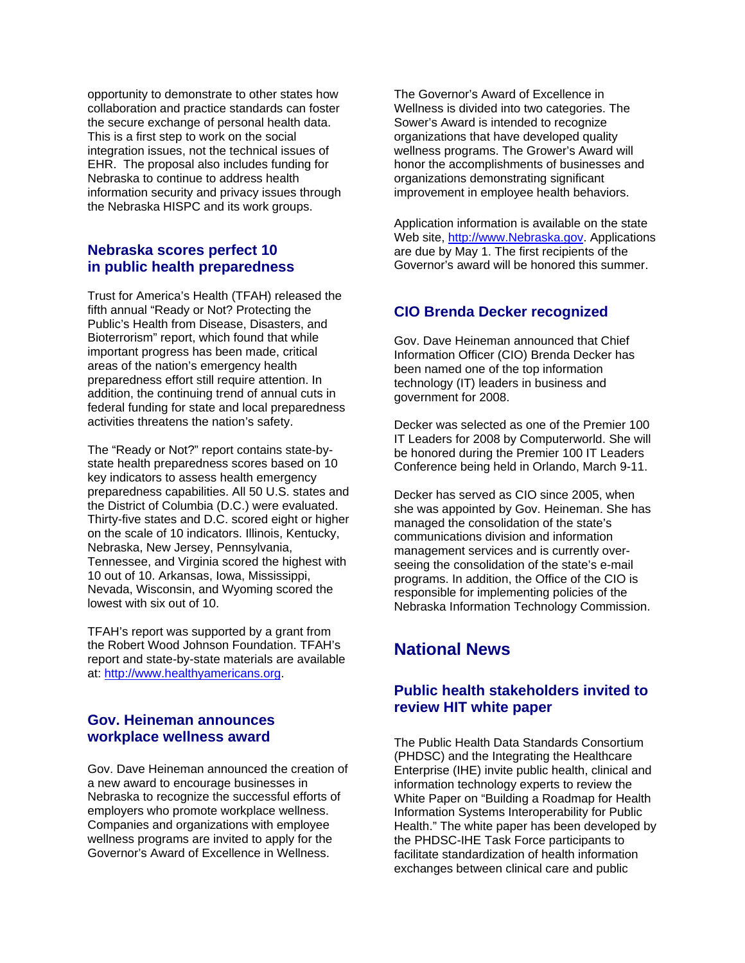opportunity to demonstrate to other states how collaboration and practice standards can foster the secure exchange of personal health data. This is a first step to work on the social integration issues, not the technical issues of EHR. The proposal also includes funding for Nebraska to continue to address health information security and privacy issues through the Nebraska HISPC and its work groups.

#### **Nebraska scores perfect 10 in public health preparedness**

Trust for America's Health (TFAH) released the fifth annual "Ready or Not? Protecting the Public's Health from Disease, Disasters, and Bioterrorism" report, which found that while important progress has been made, critical areas of the nation's emergency health preparedness effort still require attention. In addition, the continuing trend of annual cuts in federal funding for state and local preparedness activities threatens the nation's safety.

The "Ready or Not?" report contains state-bystate health preparedness scores based on 10 key indicators to assess health emergency preparedness capabilities. All 50 U.S. states and the District of Columbia (D.C.) were evaluated. Thirty-five states and D.C. scored eight or higher on the scale of 10 indicators. Illinois, Kentucky, Nebraska, New Jersey, Pennsylvania, Tennessee, and Virginia scored the highest with 10 out of 10. Arkansas, Iowa, Mississippi, Nevada, Wisconsin, and Wyoming scored the lowest with six out of 10.

TFAH's report was supported by a grant from the Robert Wood Johnson Foundation. TFAH's report and state-by-state materials are available at: [http://www.healthyamericans.org.](http://www.healthyamericans.org/)

#### **Gov. Heineman announces workplace wellness award**

Gov. Dave Heineman announced the creation of a new award to encourage businesses in Nebraska to recognize the successful efforts of employers who promote workplace wellness. Companies and organizations with employee wellness programs are invited to apply for the Governor's Award of Excellence in Wellness.

The Governor's Award of Excellence in Wellness is divided into two categories. The Sower's Award is intended to recognize organizations that have developed quality wellness programs. The Grower's Award will honor the accomplishments of businesses and organizations demonstrating significant improvement in employee health behaviors.

Application information is available on the state Web site, [http://www.Nebraska.gov.](http://www.nebraska.gov/) Applications are due by May 1. The first recipients of the Governor's award will be honored this summer.

# **CIO Brenda Decker recognized**

Gov. Dave Heineman announced that Chief Information Officer (CIO) Brenda Decker has been named one of the top information technology (IT) leaders in business and government for 2008.

Decker was selected as one of the Premier 100 IT Leaders for 2008 by Computerworld. She will be honored during the Premier 100 IT Leaders Conference being held in Orlando, March 9-11.

Decker has served as CIO since 2005, when she was appointed by Gov. Heineman. She has managed the consolidation of the state's communications division and information management services and is currently overseeing the consolidation of the state's e-mail programs. In addition, the Office of the CIO is responsible for implementing policies of the Nebraska Information Technology Commission.

# **National News**

# **Public health stakeholders invited to review HIT white paper**

The Public Health Data Standards Consortium (PHDSC) and the Integrating the Healthcare Enterprise (IHE) invite public health, clinical and information technology experts to review the White Paper on "Building a Roadmap for Health Information Systems Interoperability for Public Health." The white paper has been developed by the PHDSC-IHE Task Force participants to facilitate standardization of health information exchanges between clinical care and public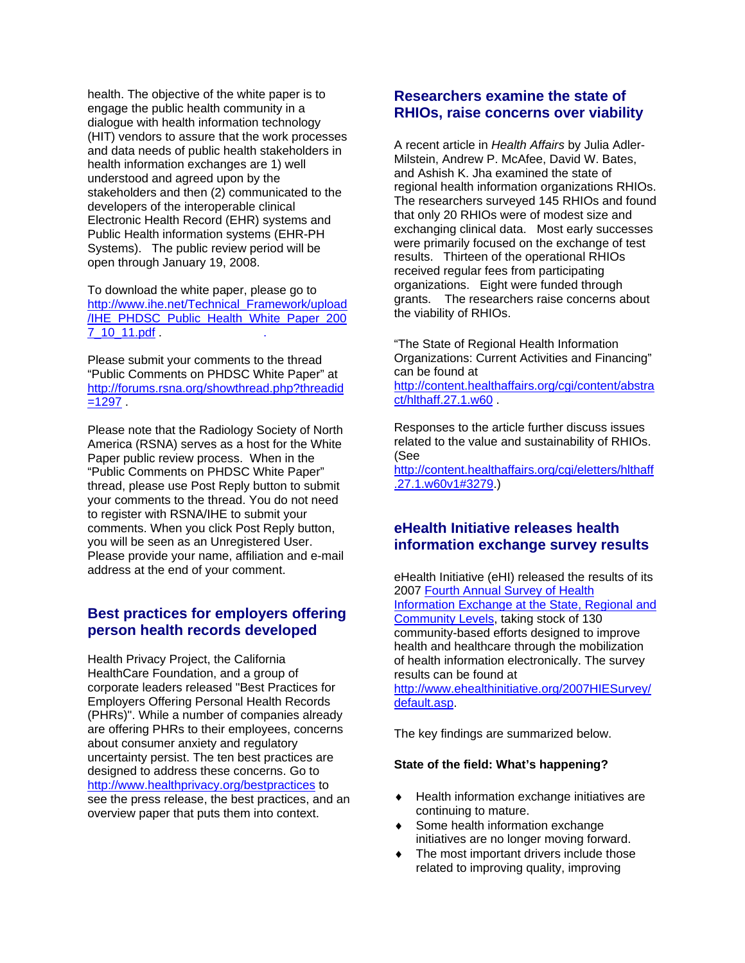health. The objective of the white paper is to engage the public health community in a dialogue with health information technology (HIT) vendors to assure that the work processes and data needs of public health stakeholders in health information exchanges are 1) well understood and agreed upon by the stakeholders and then (2) communicated to the developers of the interoperable clinical Electronic Health Record (EHR) systems and Public Health information systems (EHR-PH Systems). The public review period will be open through January 19, 2008.

To download the white paper, please go to [http://www.ihe.net/Technical\\_Framework/upload](http://www.ihe.net/Technical_Framework/upload/IHE_PHDSC_Public_Health_White_Paper_2007_10_11.pdf) [/IHE\\_PHDSC\\_Public\\_Health\\_White\\_Paper\\_200](http://www.ihe.net/Technical_Framework/upload/IHE_PHDSC_Public_Health_White_Paper_2007_10_11.pdf) [7\\_10\\_11.pdf](http://www.ihe.net/Technical_Framework/upload/IHE_PHDSC_Public_Health_White_Paper_2007_10_11.pdf) . .

Please submit your comments to the thread "Public Comments on PHDSC White Paper" at [http://forums.rsna.org/showthread.php?threadid](http://forums.rsna.org/showthread.php?threadid=1297)  $=1297$ 

Please note that the Radiology Society of North America (RSNA) serves as a host for the White Paper public review process. When in the "Public Comments on PHDSC White Paper" thread, please use Post Reply button to submit your comments to the thread. You do not need to register with RSNA/IHE to submit your comments. When you click Post Reply button, you will be seen as an Unregistered User. Please provide your name, affiliation and e-mail address at the end of your comment.

#### **Best practices for employers offering person health records developed**

Health Privacy Project, the California HealthCare Foundation, and a group of corporate leaders released "Best Practices for Employers Offering Personal Health Records (PHRs)". While a number of companies already are offering PHRs to their employees, concerns about consumer anxiety and regulatory uncertainty persist. The ten best practices are designed to address these concerns. Go to <http://www.healthprivacy.org/bestpractices> to see the press release, the best practices, and an overview paper that puts them into context.

#### **Researchers examine the state of RHIOs, raise concerns over viability**

A recent article in *Health Affairs* by Julia Adler-Milstein, Andrew P. McAfee, David W. Bates, and Ashish K. Jha examined the state of regional health information organizations RHIOs. The researchers surveyed 145 RHIOs and found that only 20 RHIOs were of modest size and exchanging clinical data. Most early successes were primarily focused on the exchange of test results. Thirteen of the operational RHIOs received regular fees from participating organizations. Eight were funded through grants. The researchers raise concerns about the viability of RHIOs.

"The State of Regional Health Information Organizations: Current Activities and Financing" can be found at

[http://content.healthaffairs.org/cgi/content/abstra](http://content.healthaffairs.org/cgi/content/abstract/hlthaff.27.1.w60) [ct/hlthaff.27.1.w60](http://content.healthaffairs.org/cgi/content/abstract/hlthaff.27.1.w60) .

Responses to the article further discuss issues related to the value and sustainability of RHIOs. (See

[http://content.healthaffairs.org/cgi/eletters/hlthaff](http://content.healthaffairs.org/cgi/eletters/hlthaff.27.1.w60v1#3279) [.27.1.w60v1#3279.](http://content.healthaffairs.org/cgi/eletters/hlthaff.27.1.w60v1#3279))

#### **eHealth Initiative releases health information exchange survey results**

eHealth Initiative (eHI) released the results of its 2007 [Fourth Annual Survey of Health](http://www.ehealthinitiative.org/2007HIESurvey/default.asp)  [Information Exchange at the State, Regional and](http://www.ehealthinitiative.org/2007HIESurvey/default.asp)  [Community Levels](http://www.ehealthinitiative.org/2007HIESurvey/default.asp), taking stock of 130 community-based efforts designed to improve health and healthcare through the mobilization of health information electronically. The survey results can be found at [http://www.ehealthinitiative.org/2007HIESurvey/](http://www.ehealthinitiative.org/2007HIESurvey/default.asp) [default.asp.](http://www.ehealthinitiative.org/2007HIESurvey/default.asp)

The key findings are summarized below.

#### **State of the field: What's happening[?](http://www.ehealthinitiative.org/2007HIESurvey/State_of_the_Field.asp)**

- Health information exchange initiatives are continuing to mature.
- ♦ Some health information exchange initiatives are no longer moving forward.
- ♦ The most important drivers include those related to improving quality, improving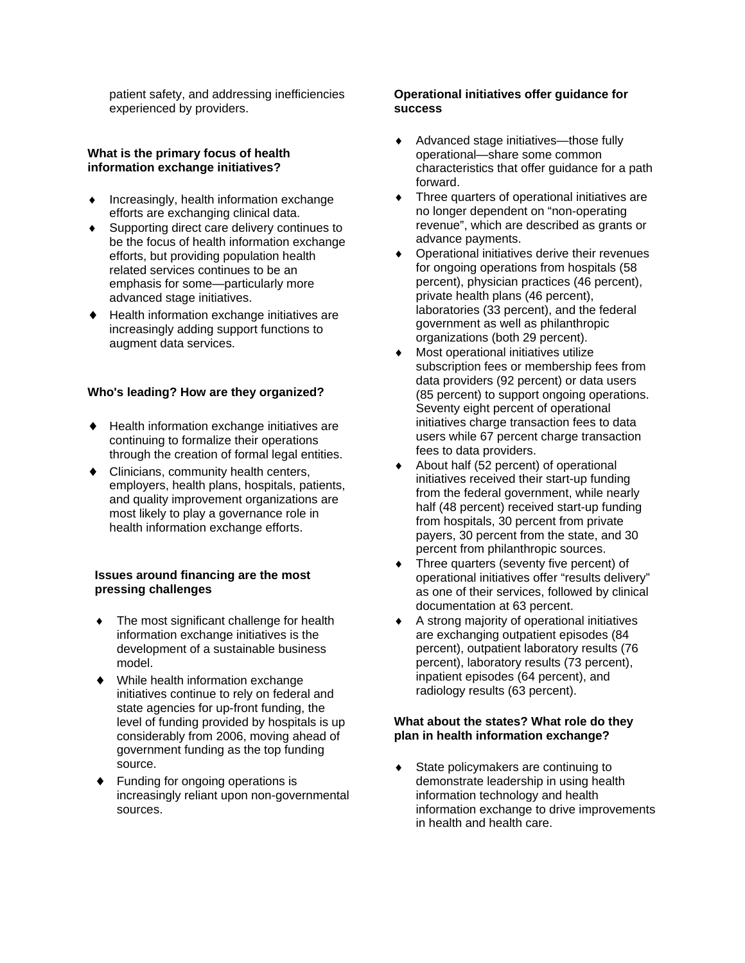patient safety, and addressing inefficiencies experienced by providers.

#### **What is the primary focus of health information exchange initiatives?**

- ♦ Increasingly, health information exchange efforts are exchanging clinical data.
- ♦ Supporting direct care delivery continues to be the focus of health information exchange efforts, but providing population health related services continues to be an emphasis for some—particularly more advanced stage initiatives.
- ♦ Health information exchange initiatives are increasingly adding support functions to augment data services.

#### **Who's leading? How are they organized?**

- ♦ Health information exchange initiatives are continuing to formalize their operations through the creation of formal legal entities.
- ♦ Clinicians, community health centers, employers, health plans, hospitals, patients, and quality improvement organizations are most likely to play a governance role in health information exchange efforts.

#### **Issues around financing are the most pressing challenges**

- ♦ The most significant challenge for health information exchange initiatives is the development of a sustainable business model.
- ♦ While health information exchange initiatives continue to rely on federal and state agencies for up-front funding, the level of funding provided by hospitals is up considerably from 2006, moving ahead of government funding as the top funding source.
- ♦ Funding for ongoing operations is increasingly reliant upon non-governmental sources.

#### **Operational initiatives offer guidance for success**

- ♦ Advanced stage initiatives—those fully operational—share some common characteristics that offer guidance for a path forward.
- ♦ Three quarters of operational initiatives are no longer dependent on "non-operating revenue", which are described as grants or advance payments.
- Operational initiatives derive their revenues for ongoing operations from hospitals (58 percent), physician practices (46 percent), private health plans (46 percent), laboratories (33 percent), and the federal government as well as philanthropic organizations (both 29 percent).
- ♦ Most operational initiatives utilize subscription fees or membership fees from data providers (92 percent) or data users (85 percent) to support ongoing operations. Seventy eight percent of operational initiatives charge transaction fees to data users while 67 percent charge transaction fees to data providers.
- About half (52 percent) of operational initiatives received their start-up funding from the federal government, while nearly half (48 percent) received start-up funding from hospitals, 30 percent from private payers, 30 percent from the state, and 30 percent from philanthropic sources.
- Three quarters (seventy five percent) of operational initiatives offer "results delivery" as one of their services, followed by clinical documentation at 63 percent.
- ♦ A strong majority of operational initiatives are exchanging outpatient episodes (84 percent), outpatient laboratory results (76 percent), laboratory results (73 percent), inpatient episodes (64 percent), and radiology results (63 percent).

#### **What about the states? What role do they plan in health information exchange?**

State policymakers are continuing to demonstrate leadership in using health information technology and health information exchange to drive improvements in health and health care.